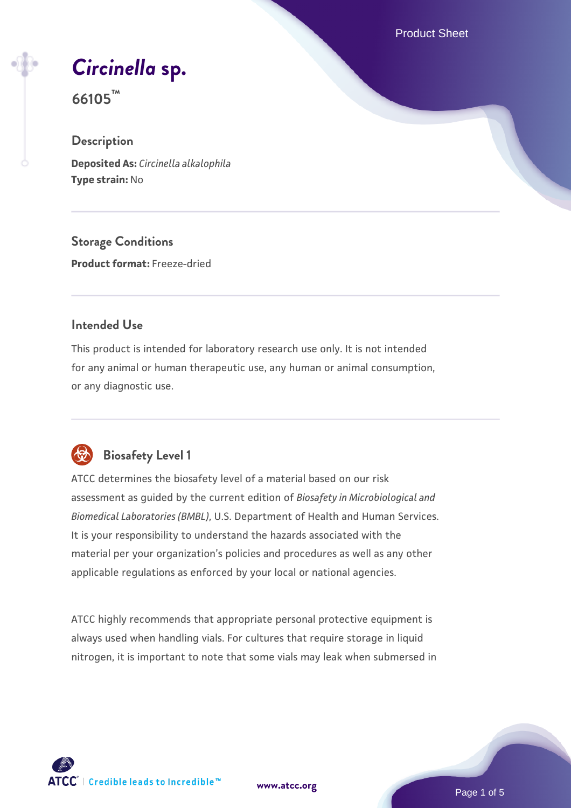Product Sheet

*[Circinella](https://www.atcc.org/products/66105)* **[sp.](https://www.atcc.org/products/66105)**

**66105™**

#### **Description**

**Deposited As:** *Circinella alkalophila* **Type strain:** No

**Storage Conditions Product format:** Freeze-dried

#### **Intended Use**

This product is intended for laboratory research use only. It is not intended for any animal or human therapeutic use, any human or animal consumption, or any diagnostic use.



## **Biosafety Level 1**

ATCC determines the biosafety level of a material based on our risk assessment as guided by the current edition of *Biosafety in Microbiological and Biomedical Laboratories (BMBL)*, U.S. Department of Health and Human Services. It is your responsibility to understand the hazards associated with the material per your organization's policies and procedures as well as any other applicable regulations as enforced by your local or national agencies.

ATCC highly recommends that appropriate personal protective equipment is always used when handling vials. For cultures that require storage in liquid nitrogen, it is important to note that some vials may leak when submersed in

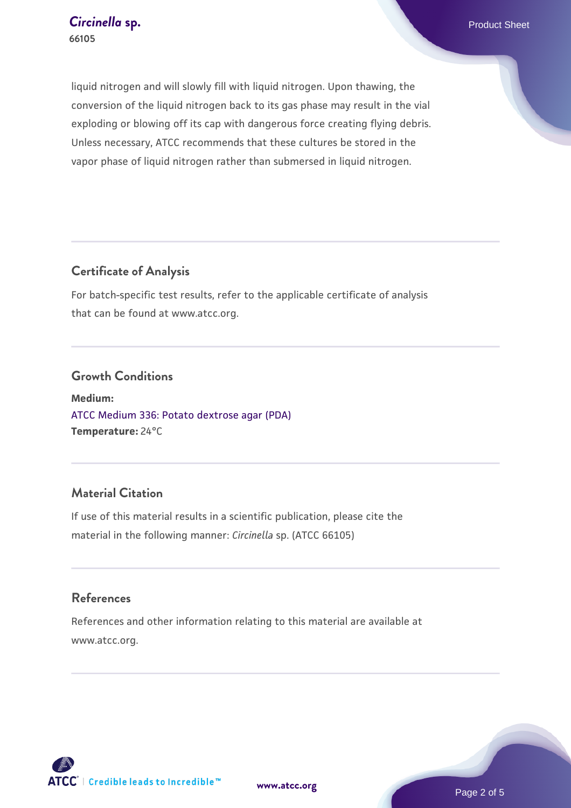liquid nitrogen and will slowly fill with liquid nitrogen. Upon thawing, the conversion of the liquid nitrogen back to its gas phase may result in the vial exploding or blowing off its cap with dangerous force creating flying debris. Unless necessary, ATCC recommends that these cultures be stored in the vapor phase of liquid nitrogen rather than submersed in liquid nitrogen.

## **Certificate of Analysis**

For batch-specific test results, refer to the applicable certificate of analysis that can be found at www.atcc.org.

#### **Growth Conditions**

**Medium:**  [ATCC Medium 336: Potato dextrose agar \(PDA\)](https://www.atcc.org/-/media/product-assets/documents/microbial-media-formulations/3/3/6/atcc-medium-336.pdf?rev=d9160ad44d934cd8b65175461abbf3b9) **Temperature:** 24°C

## **Material Citation**

If use of this material results in a scientific publication, please cite the material in the following manner: *Circinella* sp. (ATCC 66105)

#### **References**

References and other information relating to this material are available at www.atcc.org.

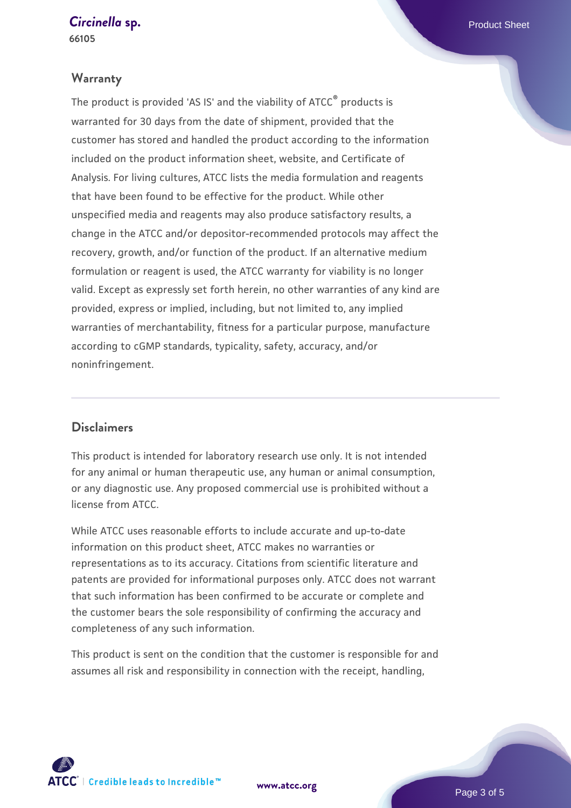## *[Circinella](https://www.atcc.org/products/66105)* [sp.](https://www.atcc.org/products/66105) **Product Sheet**

**66105**

#### **Warranty**

The product is provided 'AS IS' and the viability of ATCC® products is warranted for 30 days from the date of shipment, provided that the customer has stored and handled the product according to the information included on the product information sheet, website, and Certificate of Analysis. For living cultures, ATCC lists the media formulation and reagents that have been found to be effective for the product. While other unspecified media and reagents may also produce satisfactory results, a change in the ATCC and/or depositor-recommended protocols may affect the recovery, growth, and/or function of the product. If an alternative medium formulation or reagent is used, the ATCC warranty for viability is no longer valid. Except as expressly set forth herein, no other warranties of any kind are provided, express or implied, including, but not limited to, any implied warranties of merchantability, fitness for a particular purpose, manufacture according to cGMP standards, typicality, safety, accuracy, and/or noninfringement.

#### **Disclaimers**

This product is intended for laboratory research use only. It is not intended for any animal or human therapeutic use, any human or animal consumption, or any diagnostic use. Any proposed commercial use is prohibited without a license from ATCC.

While ATCC uses reasonable efforts to include accurate and up-to-date information on this product sheet, ATCC makes no warranties or representations as to its accuracy. Citations from scientific literature and patents are provided for informational purposes only. ATCC does not warrant that such information has been confirmed to be accurate or complete and the customer bears the sole responsibility of confirming the accuracy and completeness of any such information.

This product is sent on the condition that the customer is responsible for and assumes all risk and responsibility in connection with the receipt, handling,

**[www.atcc.org](http://www.atcc.org)**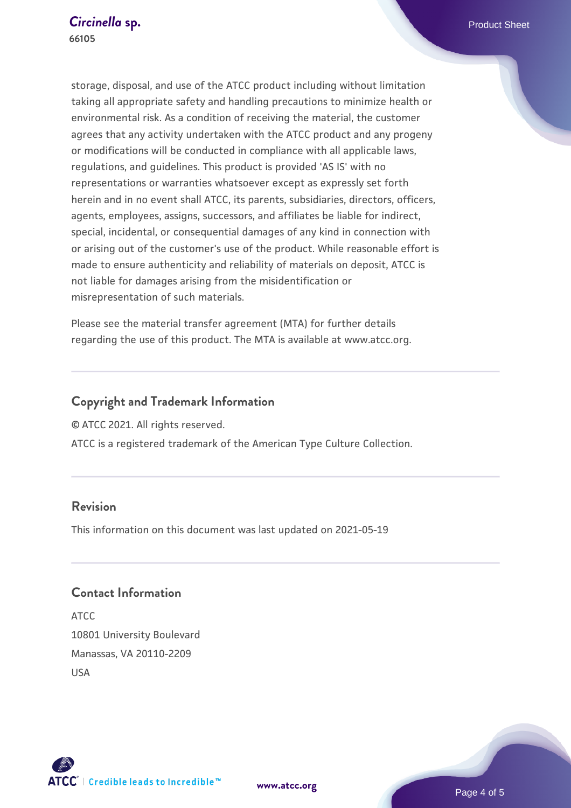storage, disposal, and use of the ATCC product including without limitation taking all appropriate safety and handling precautions to minimize health or environmental risk. As a condition of receiving the material, the customer agrees that any activity undertaken with the ATCC product and any progeny or modifications will be conducted in compliance with all applicable laws, regulations, and guidelines. This product is provided 'AS IS' with no representations or warranties whatsoever except as expressly set forth herein and in no event shall ATCC, its parents, subsidiaries, directors, officers, agents, employees, assigns, successors, and affiliates be liable for indirect, special, incidental, or consequential damages of any kind in connection with or arising out of the customer's use of the product. While reasonable effort is made to ensure authenticity and reliability of materials on deposit, ATCC is not liable for damages arising from the misidentification or misrepresentation of such materials.

Please see the material transfer agreement (MTA) for further details regarding the use of this product. The MTA is available at www.atcc.org.

## **Copyright and Trademark Information**

© ATCC 2021. All rights reserved.

ATCC is a registered trademark of the American Type Culture Collection.

### **Revision**

This information on this document was last updated on 2021-05-19

## **Contact Information**

ATCC 10801 University Boulevard Manassas, VA 20110-2209 USA